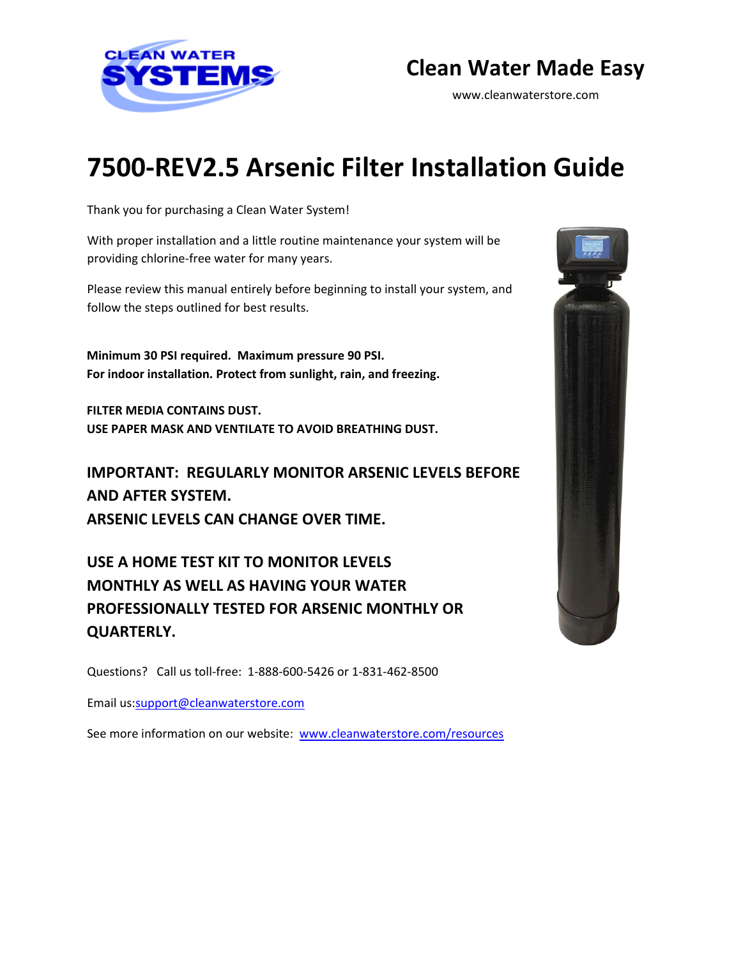

# **Clean Water Made Easy**

www.cleanwaterstore.com

# **7500-REV2.5 Arsenic Filter Installation Guide**

Thank you for purchasing a Clean Water System!

With proper installation and a little routine maintenance your system will be providing chlorine-free water for many years.

Please review this manual entirely before beginning to install your system, and follow the steps outlined for best results.

**Minimum 30 PSI required. Maximum pressure 90 PSI. For indoor installation. Protect from sunlight, rain, and freezing.** 

**FILTER MEDIA CONTAINS DUST. USE PAPER MASK AND VENTILATE TO AVOID BREATHING DUST.** 

**IMPORTANT: REGULARLY MONITOR ARSENIC LEVELS BEFORE AND AFTER SYSTEM. ARSENIC LEVELS CAN CHANGE OVER TIME.** 

**USE A HOME TEST KIT TO MONITOR LEVELS MONTHLY AS WELL AS HAVING YOUR WATER PROFESSIONALLY TESTED FOR ARSENIC MONTHLY OR QUARTERLY.** 

Questions? Call us toll-free: 1-888-600-5426 or 1-831-462-8500

Email us:support@cleanwaterstore.com

See more information on our website: [www.cleanwaterstore.com/resources](http://www.cleanwaterstore.com/resources)

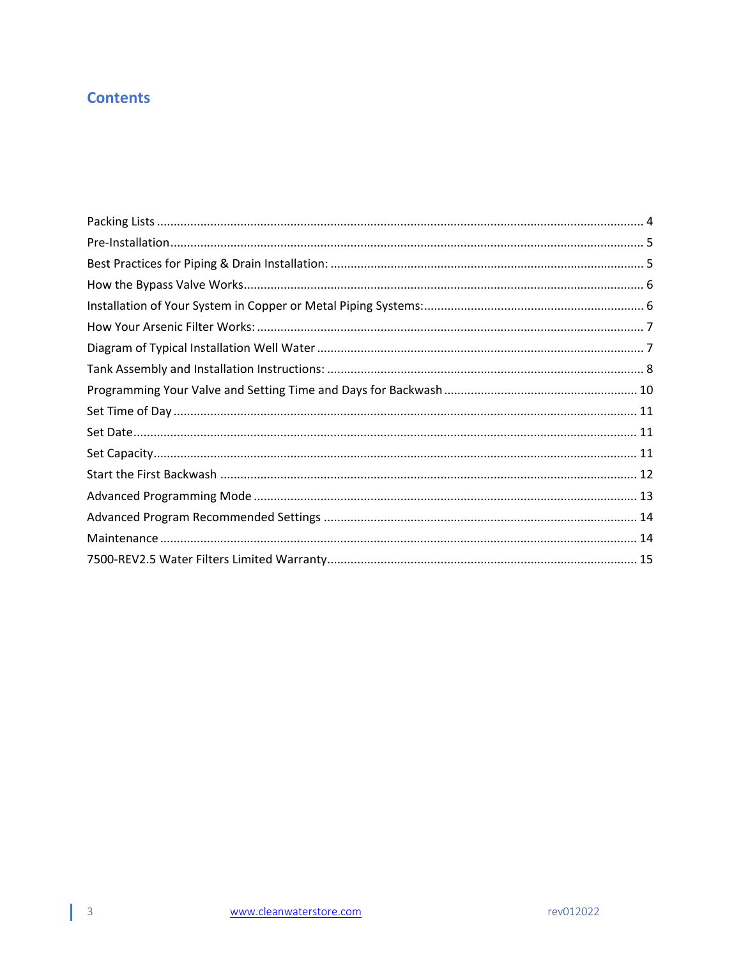# **Contents**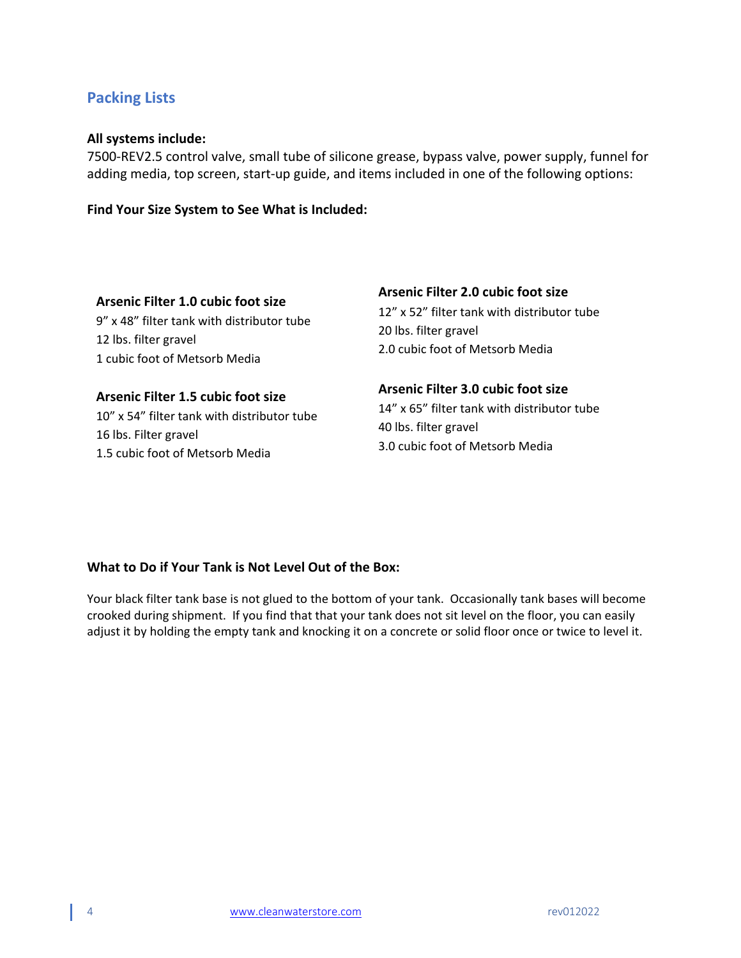# <span id="page-2-0"></span>**Packing Lists**

### **All systems include:**

7500-REV2.5 control valve, small tube of silicone grease, bypass valve, power supply, funnel for adding media, top screen, start-up guide, and items included in one of the following options:

**Find Your Size System to See What is Included:**

**Arsenic Filter 1.0 cubic foot size** 9" x 48" filter tank with distributor tube 12 lbs. filter gravel 1 cubic foot of Metsorb Media

**Arsenic Filter 1.5 cubic foot size** 10" x 54" filter tank with distributor tube 16 lbs. Filter gravel 1.5 cubic foot of Metsorb Media

### **Arsenic Filter 2.0 cubic foot size**

12" x 52" filter tank with distributor tube 20 lbs. filter gravel 2.0 cubic foot of Metsorb Media

**Arsenic Filter 3.0 cubic foot size** 14" x 65" filter tank with distributor tube 40 lbs. filter gravel 3.0 cubic foot of Metsorb Media

### **What to Do if Your Tank is Not Level Out of the Box:**

Your black filter tank base is not glued to the bottom of your tank. Occasionally tank bases will become crooked during shipment. If you find that that your tank does not sit level on the floor, you can easily adjust it by holding the empty tank and knocking it on a concrete or solid floor once or twice to level it.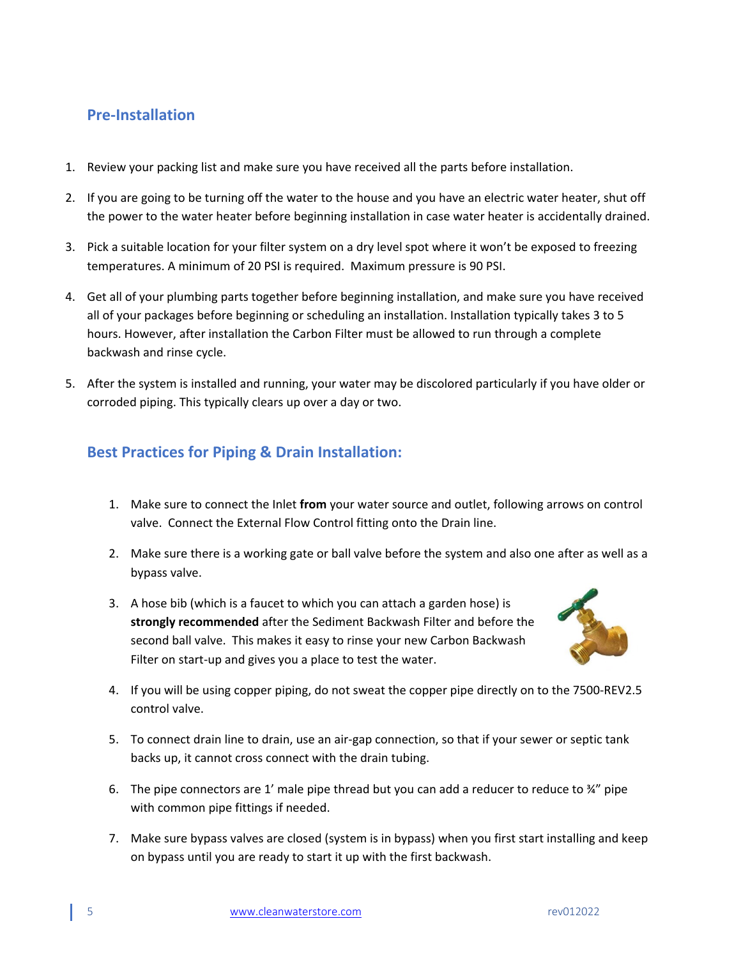# <span id="page-3-0"></span>**Pre-Installation**

- 1. Review your packing list and make sure you have received all the parts before installation.
- 2. If you are going to be turning off the water to the house and you have an electric water heater, shut off the power to the water heater before beginning installation in case water heater is accidentally drained.
- 3. Pick a suitable location for your filter system on a dry level spot where it won't be exposed to freezing temperatures. A minimum of 20 PSI is required. Maximum pressure is 90 PSI.
- 4. Get all of your plumbing parts together before beginning installation, and make sure you have received all of your packages before beginning or scheduling an installation. Installation typically takes 3 to 5 hours. However, after installation the Carbon Filter must be allowed to run through a complete backwash and rinse cycle.
- 5. After the system is installed and running, your water may be discolored particularly if you have older or corroded piping. This typically clears up over a day or two.

# <span id="page-3-1"></span>**Best Practices for Piping & Drain Installation:**

- 1. Make sure to connect the Inlet **from** your water source and outlet, following arrows on control valve. Connect the External Flow Control fitting onto the Drain line.
- 2. Make sure there is a working gate or ball valve before the system and also one after as well as a bypass valve.
- 3. A hose bib (which is a faucet to which you can attach a garden hose) is **strongly recommended** after the Sediment Backwash Filter and before the second ball valve. This makes it easy to rinse your new Carbon Backwash Filter on start-up and gives you a place to test the water.



- 4. If you will be using copper piping, do not sweat the copper pipe directly on to the 7500-REV2.5 control valve.
- 5. To connect drain line to drain, use an air-gap connection, so that if your sewer or septic tank backs up, it cannot cross connect with the drain tubing.
- 6. The pipe connectors are 1' male pipe thread but you can add a reducer to reduce to  $\frac{3}{4}$ " pipe with common pipe fittings if needed.
- 7. Make sure bypass valves are closed (system is in bypass) when you first start installing and keep on bypass until you are ready to start it up with the first backwash.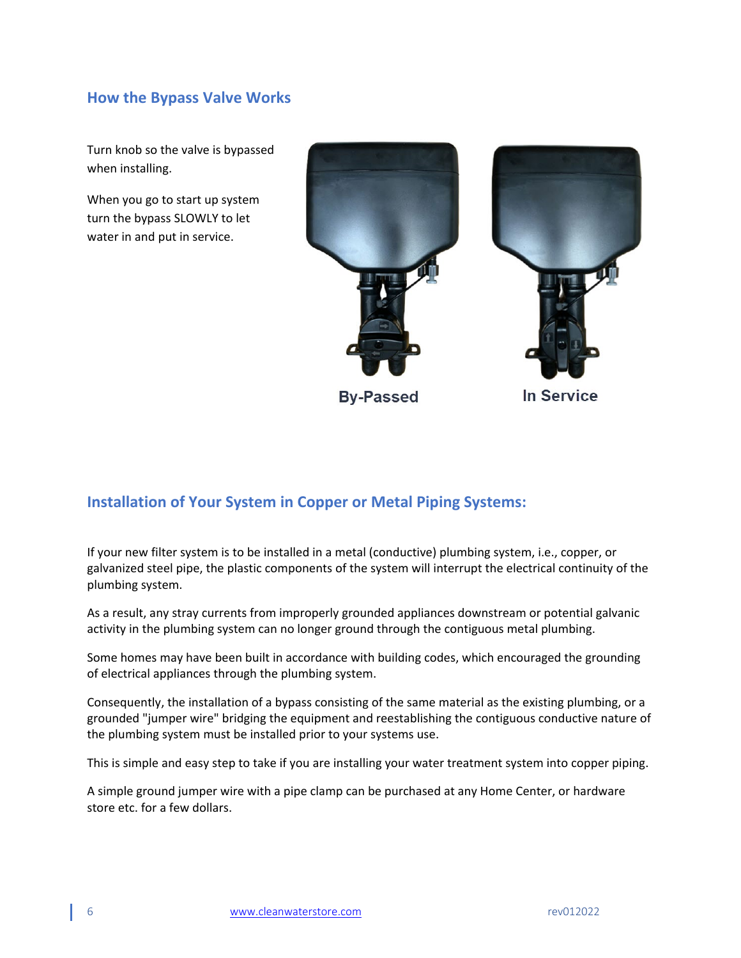# <span id="page-4-0"></span>**How the Bypass Valve Works**

Turn knob so the valve is bypassed when installing.

When you go to start up system turn the bypass SLOWLY to let water in and put in service.



**By-Passed** 

**In Service** 

# <span id="page-4-1"></span>**Installation of Your System in Copper or Metal Piping Systems:**

If your new filter system is to be installed in a metal (conductive) plumbing system, i.e., copper, or galvanized steel pipe, the plastic components of the system will interrupt the electrical continuity of the plumbing system.

As a result, any stray currents from improperly grounded appliances downstream or potential galvanic activity in the plumbing system can no longer ground through the contiguous metal plumbing.

Some homes may have been built in accordance with building codes, which encouraged the grounding of electrical appliances through the plumbing system.

Consequently, the installation of a bypass consisting of the same material as the existing plumbing, or a grounded "jumper wire" bridging the equipment and reestablishing the contiguous conductive nature of the plumbing system must be installed prior to your systems use.

This is simple and easy step to take if you are installing your water treatment system into copper piping.

A simple ground jumper wire with a pipe clamp can be purchased at any Home Center, or hardware store etc. for a few dollars.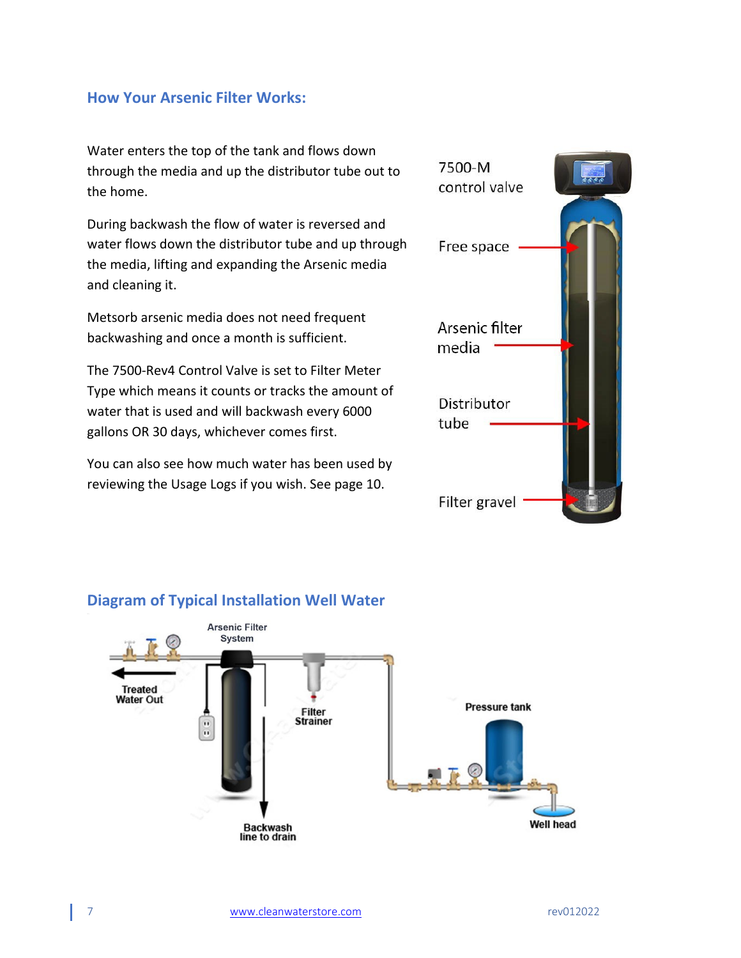# <span id="page-5-0"></span>**How Your Arsenic Filter Works:**

Water enters the top of the tank and flows down through the media and up the distributor tube out to the home.

During backwash the flow of water is reversed and water flows down the distributor tube and up through the media, lifting and expanding the Arsenic media and cleaning it.

Metsorb arsenic media does not need frequent backwashing and once a month is sufficient.

The 7500-Rev4 Control Valve is set to Filter Meter Type which means it counts or tracks the amount of water that is used and will backwash every 6000 gallons OR 30 days, whichever comes first.

You can also see how much water has been used by reviewing the Usage Logs if you wish. See page 10.





## <span id="page-5-1"></span>**Diagram of Typical Installation Well Water**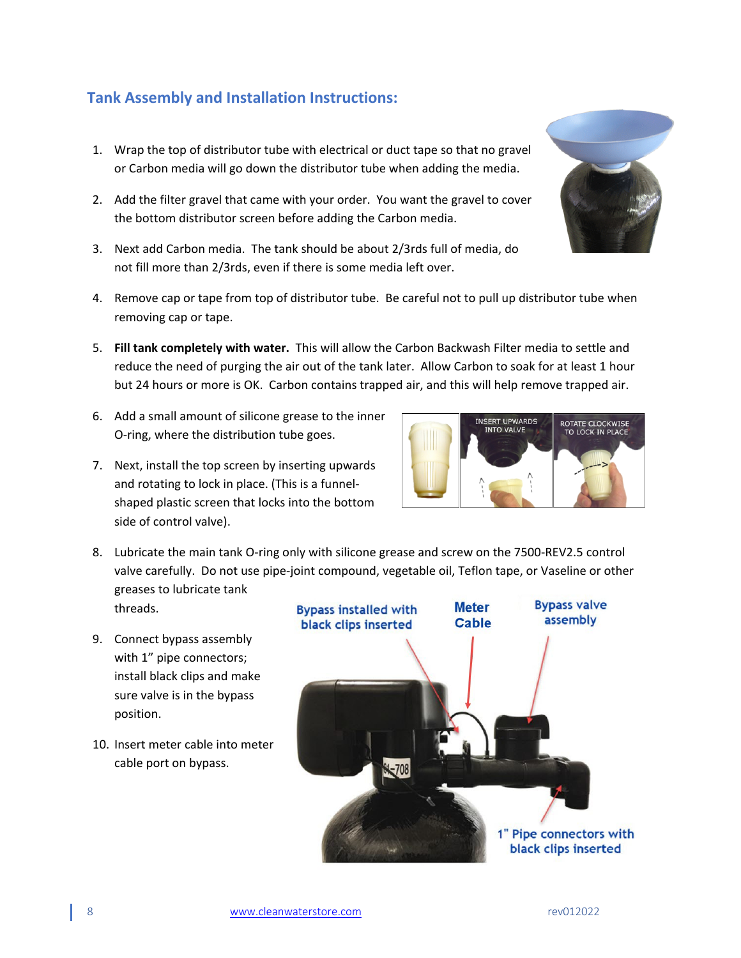# <span id="page-6-0"></span>**Tank Assembly and Installation Instructions:**

- 1. Wrap the top of distributor tube with electrical or duct tape so that no gravel or Carbon media will go down the distributor tube when adding the media.
- 2. Add the filter gravel that came with your order. You want the gravel to cover the bottom distributor screen before adding the Carbon media.
- 3. Next add Carbon media. The tank should be about 2/3rds full of media, do not fill more than 2/3rds, even if there is some media left over.
- 4. Remove cap or tape from top of distributor tube. Be careful not to pull up distributor tube when removing cap or tape.
- 5. **Fill tank completely with water.** This will allow the Carbon Backwash Filter media to settle and reduce the need of purging the air out of the tank later. Allow Carbon to soak for at least 1 hour but 24 hours or more is OK. Carbon contains trapped air, and this will help remove trapped air.
- 6. Add a small amount of silicone grease to the inner O-ring, where the distribution tube goes.
- 7. Next, install the top screen by inserting upwards and rotating to lock in place. (This is a funnelshaped plastic screen that locks into the bottom side of control valve).
- 8. Lubricate the main tank O-ring only with silicone grease and screw on the 7500-REV2.5 control valve carefully. Do not use pipe-joint compound, vegetable oil, Teflon tape, or Vaseline or other greases to lubricate tank threads.
- 9. Connect bypass assembly with 1" pipe connectors; install black clips and make sure valve is in the bypass position.
- 10. Insert meter cable into meter cable port on bypass.





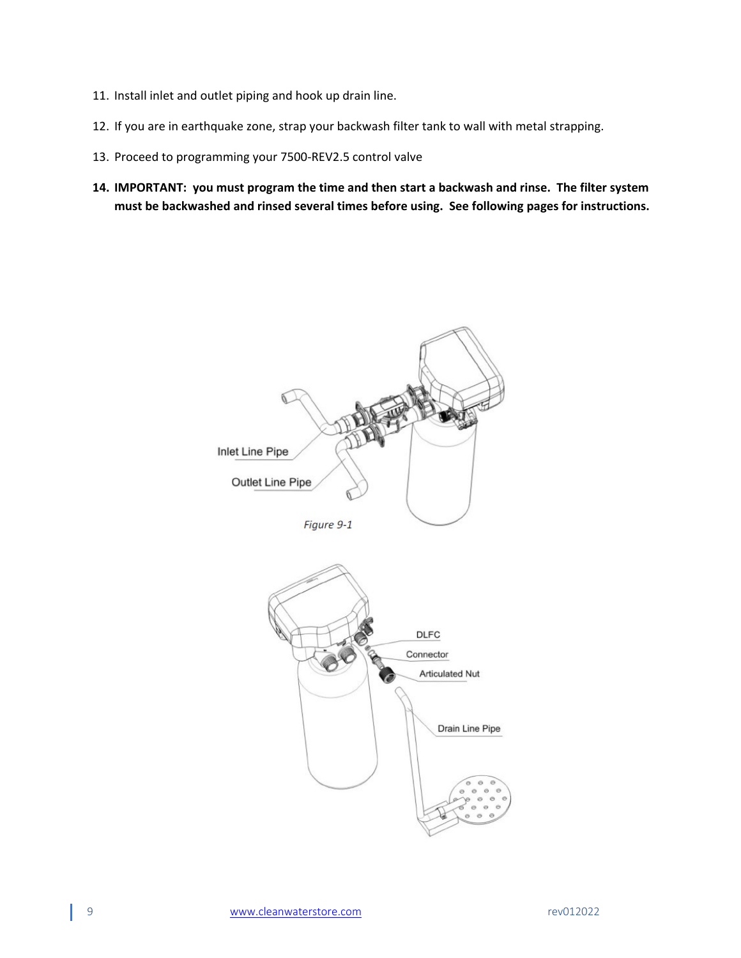- 11. Install inlet and outlet piping and hook up drain line.
- 12. If you are in earthquake zone, strap your backwash filter tank to wall with metal strapping.
- 13. Proceed to programming your 7500-REV2.5 control valve
- **14. IMPORTANT: you must program the time and then start a backwash and rinse. The filter system must be backwashed and rinsed several times before using. See following pages for instructions.**

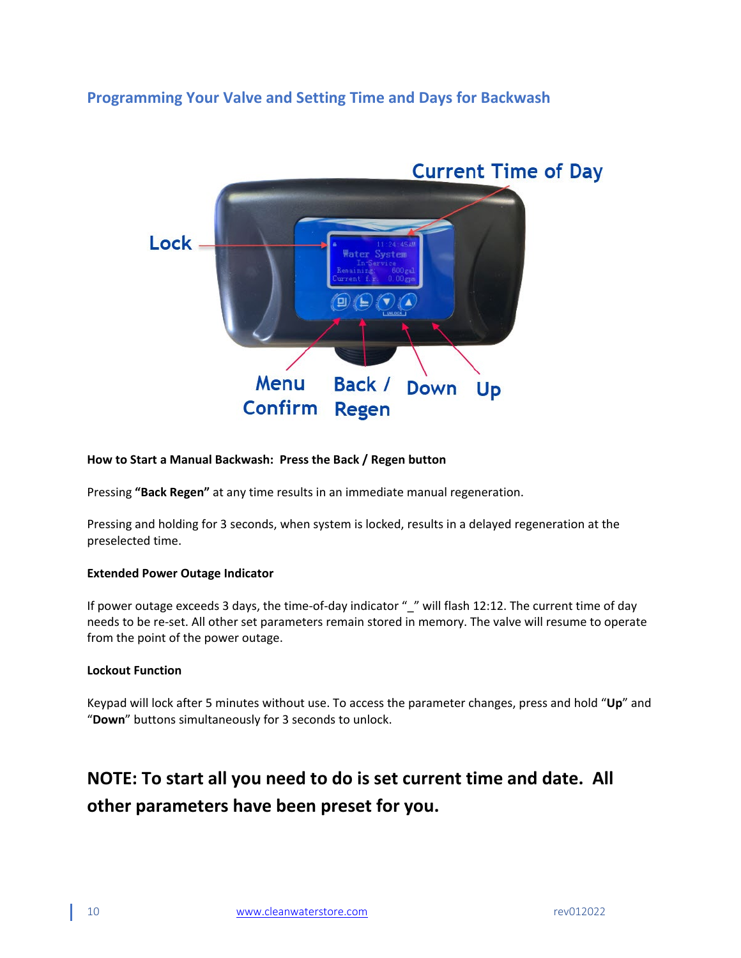# <span id="page-8-0"></span>**Programming Your Valve and Setting Time and Days for Backwash**



#### **How to Start a Manual Backwash: Press the Back / Regen button**

Pressing **"Back Regen"** at any time results in an immediate manual regeneration.

Pressing and holding for 3 seconds, when system is locked, results in a delayed regeneration at the preselected time.

#### **Extended Power Outage Indicator**

If power outage exceeds 3 days, the time-of-day indicator " " will flash 12:12. The current time of day needs to be re-set. All other set parameters remain stored in memory. The valve will resume to operate from the point of the power outage.

#### **Lockout Function**

Keypad will lock after 5 minutes without use. To access the parameter changes, press and hold "**Up**" and "**Down**" buttons simultaneously for 3 seconds to unlock.

# **NOTE: To start all you need to do is set current time and date. All other parameters have been preset for you.**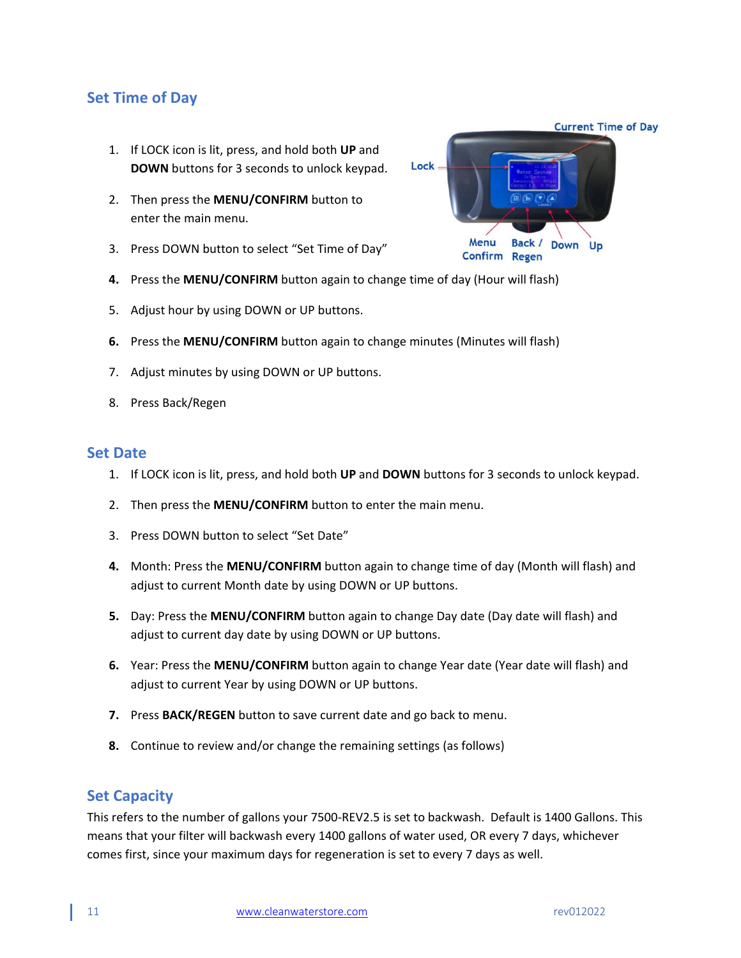# <span id="page-9-0"></span>**Set Time of Day**

- 1. If LOCK icon is lit, press, and hold both **UP** and **DOWN** buttons for 3 seconds to unlock keypad.
- 2. Then press the **MENU/CONFIRM** button to enter the main menu.
- 3. Press DOWN button to select "Set Time of Day"
- **4.** Press the **MENU/CONFIRM** button again to change time of day (Hour will flash)
- 5. Adjust hour by using DOWN or UP buttons.
- **6.** Press the **MENU/CONFIRM** button again to change minutes (Minutes will flash)
- 7. Adjust minutes by using DOWN or UP buttons.
- 8. Press Back/Regen

### <span id="page-9-1"></span>**Set Date**

- 1. If LOCK icon is lit, press, and hold both **UP** and **DOWN** buttons for 3 seconds to unlock keypad.
- 2. Then press the **MENU/CONFIRM** button to enter the main menu.
- 3. Press DOWN button to select "Set Date"
- **4.** Month: Press the **MENU/CONFIRM** button again to change time of day (Month will flash) and adjust to current Month date by using DOWN or UP buttons.
- **5.** Day: Press the **MENU/CONFIRM** button again to change Day date (Day date will flash) and adjust to current day date by using DOWN or UP buttons.
- **6.** Year: Press the **MENU/CONFIRM** button again to change Year date (Year date will flash) and adjust to current Year by using DOWN or UP buttons.
- **7.** Press **BACK/REGEN** button to save current date and go back to menu.
- **8.** Continue to review and/or change the remaining settings (as follows)

# <span id="page-9-2"></span>**Set Capacity**

This refers to the number of gallons your 7500-REV2.5 is set to backwash. Default is 1400 Gallons. This means that your filter will backwash every 1400 gallons of water used, OR every 7 days, whichever comes first, since your maximum days for regeneration is set to every 7 days as well.

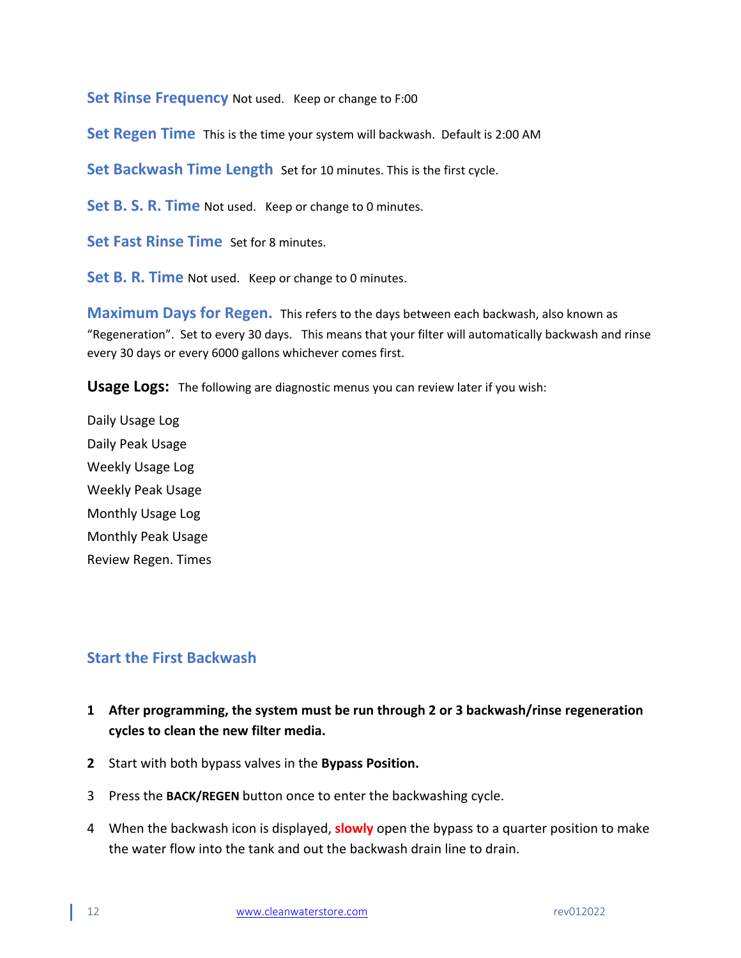**Set Rinse Frequency** Not used. Keep or change to F:00

**Set Regen Time** This is the time your system will backwash. Default is 2:00 AM

**Set Backwash Time Length** Set for 10 minutes. This is the first cycle.

**Set B. S. R. Time** Not used. Keep or change to 0 minutes.

**Set Fast Rinse Time** Set for 8 minutes.

**Set B. R. Time** Not used. Keep or change to 0 minutes.

**Maximum Days for Regen.** This refers to the days between each backwash, also known as "Regeneration". Set to every 30 days. This means that your filter will automatically backwash and rinse every 30 days or every 6000 gallons whichever comes first.

**Usage Logs:** The following are diagnostic menus you can review later if you wish:

Daily Usage Log Daily Peak Usage Weekly Usage Log Weekly Peak Usage Monthly Usage Log Monthly Peak Usage Review Regen. Times

# <span id="page-10-0"></span>**Start the First Backwash**

- **1 After programming, the system must be run through 2 or 3 backwash/rinse regeneration cycles to clean the new filter media.**
- **2** Start with both bypass valves in the **Bypass Position.**
- 3 Press the **BACK/REGEN** button once to enter the backwashing cycle.
- 4 When the backwash icon is displayed, **slowly** open the bypass to a quarter position to make the water flow into the tank and out the backwash drain line to drain.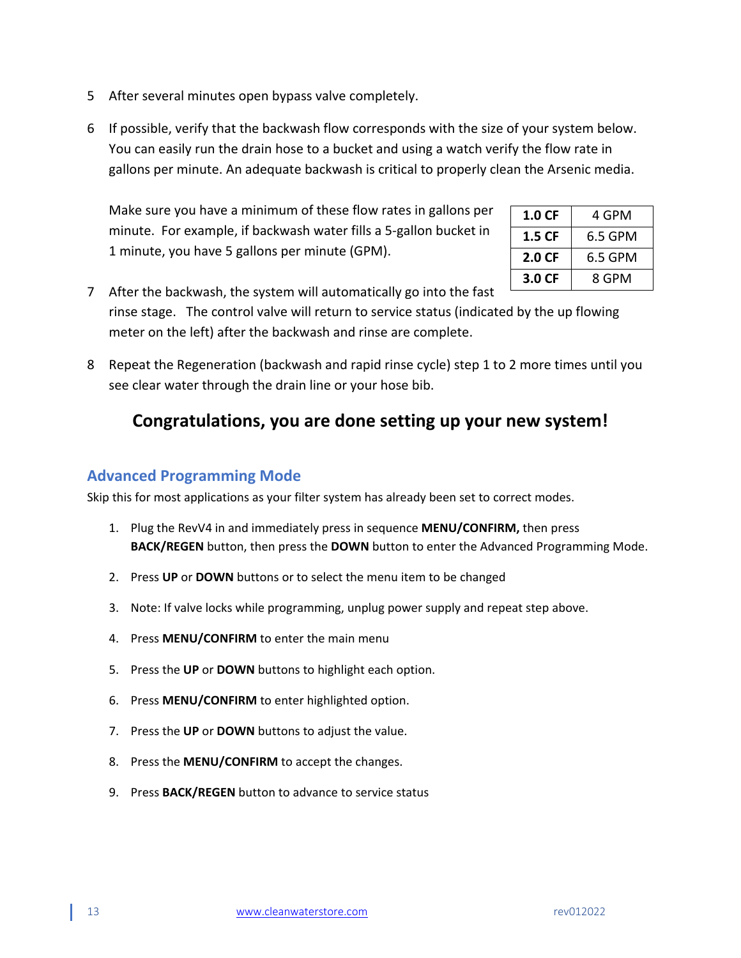- 5 After several minutes open bypass valve completely.
- 6 If possible, verify that the backwash flow corresponds with the size of your system below. You can easily run the drain hose to a bucket and using a watch verify the flow rate in gallons per minute. An adequate backwash is critical to properly clean the Arsenic media.

Make sure you have a minimum of these flow rates in gallons per minute. For example, if backwash water fills a 5-gallon bucket in 1 minute, you have 5 gallons per minute (GPM).

| 1.0 CF | 4 GPM   |
|--------|---------|
| 1.5 CF | 6.5 GPM |
| 2.0 CF | 6.5 GPM |
| 3.0 CF | 8 GPM   |

7 After the backwash, the system will automatically go into the fast rinse stage. The control valve will return to service status (indicated by the up flowing meter on the left) after the backwash and rinse are complete.

8 Repeat the Regeneration (backwash and rapid rinse cycle) step 1 to 2 more times until you see clear water through the drain line or your hose bib.

# **Congratulations, you are done setting up your new system!**

# <span id="page-11-0"></span>**Advanced Programming Mode**

Skip this for most applications as your filter system has already been set to correct modes.

- 1. Plug the RevV4 in and immediately press in sequence **MENU/CONFIRM,** then press **BACK/REGEN** button, then press the **DOWN** button to enter the Advanced Programming Mode.
- 2. Press **UP** or **DOWN** buttons or to select the menu item to be changed
- 3. Note: If valve locks while programming, unplug power supply and repeat step above.
- 4. Press **MENU/CONFIRM** to enter the main menu
- 5. Press the **UP** or **DOWN** buttons to highlight each option.
- 6. Press **MENU/CONFIRM** to enter highlighted option.
- 7. Press the **UP** or **DOWN** buttons to adjust the value.
- 8. Press the **MENU/CONFIRM** to accept the changes.
- 9. Press **BACK/REGEN** button to advance to service status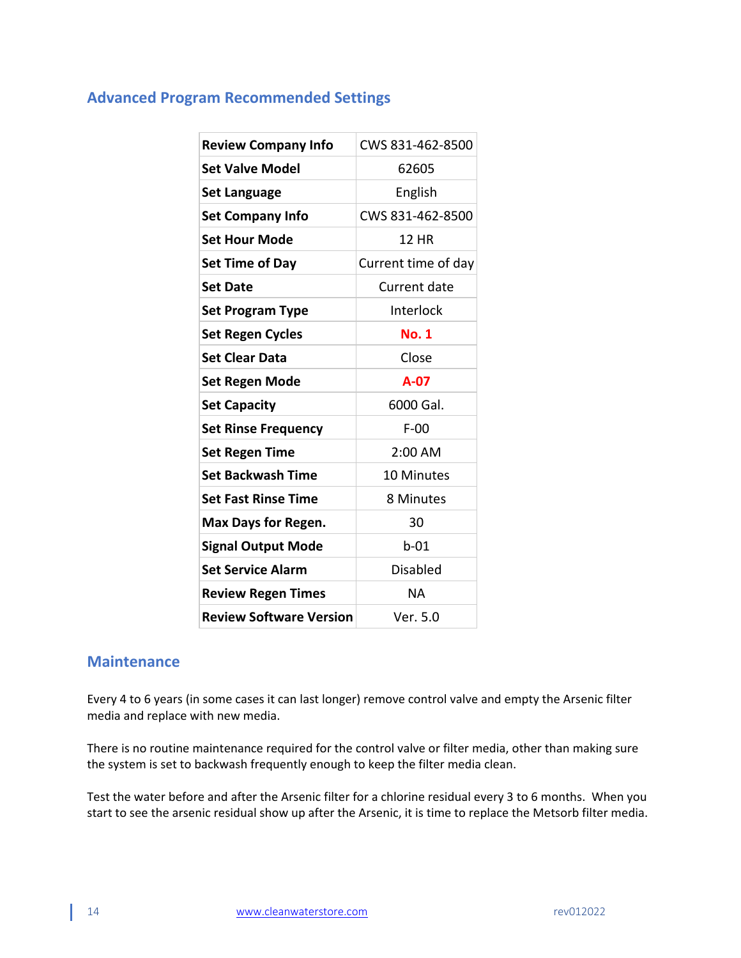# <span id="page-12-0"></span>**Advanced Program Recommended Settings**

| <b>Review Company Info</b>     | CWS 831-462-8500    |  |
|--------------------------------|---------------------|--|
| <b>Set Valve Model</b>         | 62605               |  |
| <b>Set Language</b>            | English             |  |
| <b>Set Company Info</b>        | CWS 831-462-8500    |  |
| Set Hour Mode                  | 12 HR               |  |
| <b>Set Time of Day</b>         | Current time of day |  |
| <b>Set Date</b>                | Current date        |  |
| <b>Set Program Type</b>        | Interlock           |  |
| <b>Set Regen Cycles</b>        | <b>No. 1</b>        |  |
| <b>Set Clear Data</b>          | Close               |  |
| Set Regen Mode                 | $A-07$              |  |
| <b>Set Capacity</b>            | 6000 Gal.           |  |
| <b>Set Rinse Frequency</b>     | F-00                |  |
| <b>Set Regen Time</b>          | 2:00 AM             |  |
| <b>Set Backwash Time</b>       | <b>10 Minutes</b>   |  |
| <b>Set Fast Rinse Time</b>     | 8 Minutes           |  |
| <b>Max Days for Regen.</b>     | 30                  |  |
| <b>Signal Output Mode</b>      | $b-01$              |  |
| <b>Set Service Alarm</b>       | <b>Disabled</b>     |  |
| <b>Review Regen Times</b>      | <b>NA</b>           |  |
| <b>Review Software Version</b> | Ver. 5.0            |  |

# <span id="page-12-1"></span>**Maintenance**

Every 4 to 6 years (in some cases it can last longer) remove control valve and empty the Arsenic filter media and replace with new media.

There is no routine maintenance required for the control valve or filter media, other than making sure the system is set to backwash frequently enough to keep the filter media clean.

Test the water before and after the Arsenic filter for a chlorine residual every 3 to 6 months. When you start to see the arsenic residual show up after the Arsenic, it is time to replace the Metsorb filter media.